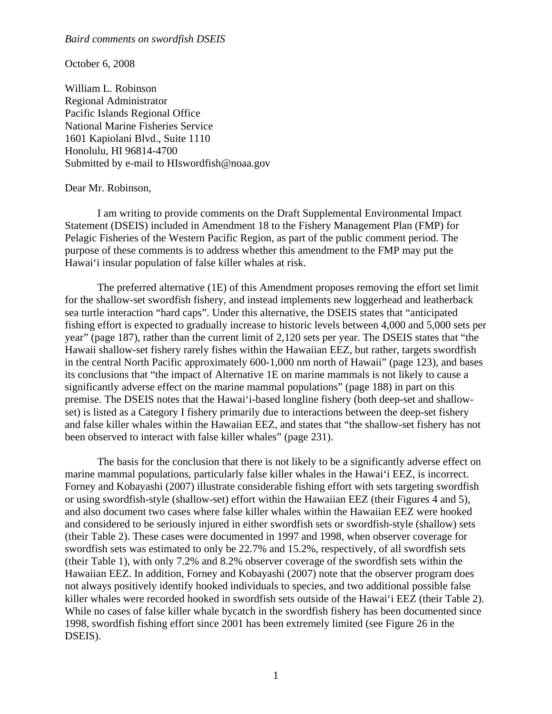## *Baird comments on swordfish DSEIS*

October 6, 2008

William L. Robinson Regional Administrator Pacific Islands Regional Office National Marine Fisheries Service 1601 Kapiolani Blvd., Suite 1110 Honolulu, HI 96814-4700 Submitted by e-mail to HIswordfish@noaa.gov

## Dear Mr. Robinson,

 I am writing to provide comments on the Draft Supplemental Environmental Impact Statement (DSEIS) included in Amendment 18 to the Fishery Management Plan (FMP) for Pelagic Fisheries of the Western Pacific Region, as part of the public comment period. The purpose of these comments is to address whether this amendment to the FMP may put the Hawai'i insular population of false killer whales at risk.

 The preferred alternative (1E) of this Amendment proposes removing the effort set limit for the shallow-set swordfish fishery, and instead implements new loggerhead and leatherback sea turtle interaction "hard caps". Under this alternative, the DSEIS states that "anticipated fishing effort is expected to gradually increase to historic levels between 4,000 and 5,000 sets per year" (page 187), rather than the current limit of 2,120 sets per year. The DSEIS states that "the Hawaii shallow-set fishery rarely fishes within the Hawaiian EEZ, but rather, targets swordfish in the central North Pacific approximately 600-1,000 nm north of Hawaii" (page 123), and bases its conclusions that "the impact of Alternative 1E on marine mammals is not likely to cause a significantly adverse effect on the marine mammal populations" (page 188) in part on this premise. The DSEIS notes that the Hawai'i-based longline fishery (both deep-set and shallowset) is listed as a Category I fishery primarily due to interactions between the deep-set fishery and false killer whales within the Hawaiian EEZ, and states that "the shallow-set fishery has not been observed to interact with false killer whales" (page 231).

 The basis for the conclusion that there is not likely to be a significantly adverse effect on marine mammal populations, particularly false killer whales in the Hawai'i EEZ, is incorrect. Forney and Kobayashi (2007) illustrate considerable fishing effort with sets targeting swordfish or using swordfish-style (shallow-set) effort within the Hawaiian EEZ (their Figures 4 and 5), and also document two cases where false killer whales within the Hawaiian EEZ were hooked and considered to be seriously injured in either swordfish sets or swordfish-style (shallow) sets (their Table 2). These cases were documented in 1997 and 1998, when observer coverage for swordfish sets was estimated to only be 22.7% and 15.2%, respectively, of all swordfish sets (their Table 1), with only 7.2% and 8.2% observer coverage of the swordfish sets within the Hawaiian EEZ. In addition, Forney and Kobayashi (2007) note that the observer program does not always positively identify hooked individuals to species, and two additional possible false killer whales were recorded hooked in swordfish sets outside of the Hawai'i EEZ (their Table 2). While no cases of false killer whale bycatch in the swordfish fishery has been documented since 1998, swordfish fishing effort since 2001 has been extremely limited (see Figure 26 in the DSEIS).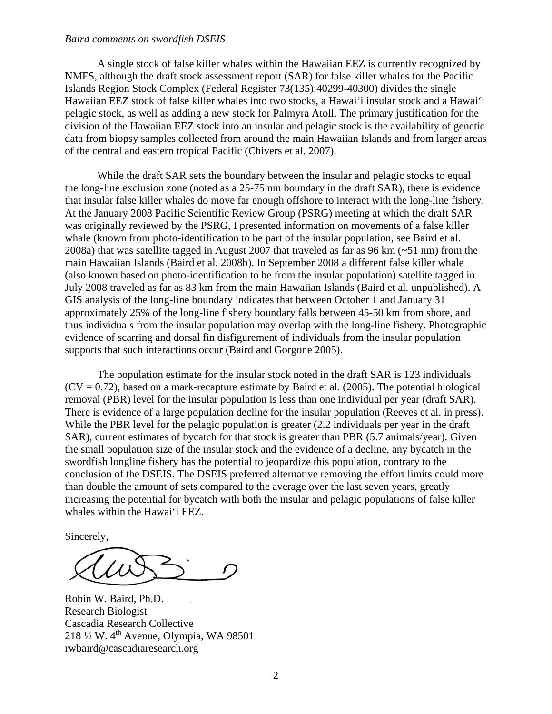## *Baird comments on swordfish DSEIS*

 A single stock of false killer whales within the Hawaiian EEZ is currently recognized by NMFS, although the draft stock assessment report (SAR) for false killer whales for the Pacific Islands Region Stock Complex (Federal Register 73(135):40299-40300) divides the single Hawaiian EEZ stock of false killer whales into two stocks, a Hawai'i insular stock and a Hawai'i pelagic stock, as well as adding a new stock for Palmyra Atoll. The primary justification for the division of the Hawaiian EEZ stock into an insular and pelagic stock is the availability of genetic data from biopsy samples collected from around the main Hawaiian Islands and from larger areas of the central and eastern tropical Pacific (Chivers et al. 2007).

 While the draft SAR sets the boundary between the insular and pelagic stocks to equal the long-line exclusion zone (noted as a 25-75 nm boundary in the draft SAR), there is evidence that insular false killer whales do move far enough offshore to interact with the long-line fishery. At the January 2008 Pacific Scientific Review Group (PSRG) meeting at which the draft SAR was originally reviewed by the PSRG, I presented information on movements of a false killer whale (known from photo-identification to be part of the insular population, see Baird et al. 2008a) that was satellite tagged in August 2007 that traveled as far as 96 km (~51 nm) from the main Hawaiian Islands (Baird et al. 2008b). In September 2008 a different false killer whale (also known based on photo-identification to be from the insular population) satellite tagged in July 2008 traveled as far as 83 km from the main Hawaiian Islands (Baird et al. unpublished). A GIS analysis of the long-line boundary indicates that between October 1 and January 31 approximately 25% of the long-line fishery boundary falls between 45-50 km from shore, and thus individuals from the insular population may overlap with the long-line fishery. Photographic evidence of scarring and dorsal fin disfigurement of individuals from the insular population supports that such interactions occur (Baird and Gorgone 2005).

 The population estimate for the insular stock noted in the draft SAR is 123 individuals  $(CV = 0.72)$ , based on a mark-recapture estimate by Baird et al. (2005). The potential biological removal (PBR) level for the insular population is less than one individual per year (draft SAR). There is evidence of a large population decline for the insular population (Reeves et al. in press). While the PBR level for the pelagic population is greater (2.2 individuals per year in the draft SAR), current estimates of bycatch for that stock is greater than PBR (5.7 animals/year). Given the small population size of the insular stock and the evidence of a decline, any bycatch in the swordfish longline fishery has the potential to jeopardize this population, contrary to the conclusion of the DSEIS. The DSEIS preferred alternative removing the effort limits could more than double the amount of sets compared to the average over the last seven years, greatly increasing the potential for bycatch with both the insular and pelagic populations of false killer whales within the Hawai'i EEZ.

Sincerely,

Robin W. Baird, Ph.D. Research Biologist Cascadia Research Collective 218  $\frac{1}{2}$  W. 4<sup>th</sup> Avenue, Olympia, WA 98501 rwbaird@cascadiaresearch.org